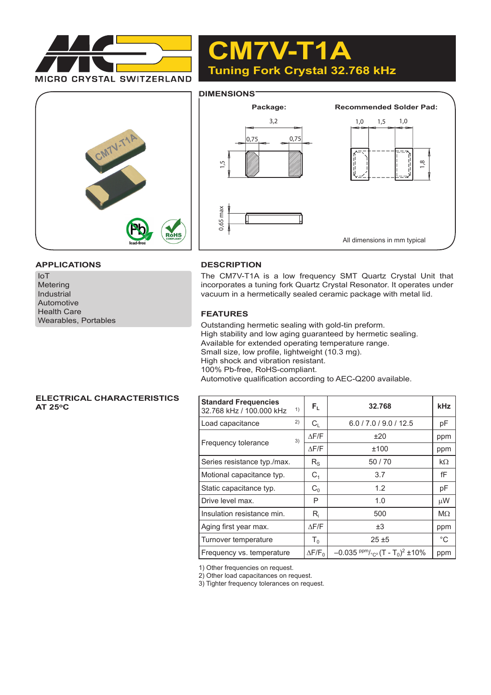

# **CM7V-T1A Tuning Fork Crystal 32.768 kHz**

## **DIMENSIONS**





#### **APPLICATIONS**

IoT Metering Industrial Automotive Health Care Wearables, Portables

## **DESCRIPTION**

The CM7V-T1A is a low frequency SMT Quartz Crystal Unit that incorporates a tuning fork Quartz Crystal Resonator. It operates under vacuum in a hermetically sealed ceramic package with metal lid.

#### **FEATURES**

Outstanding hermetic sealing with gold-tin preform. High stability and low aging guaranteed by hermetic sealing. Available for extended operating temperature range. Small size, low profile, lightweight (10.3 mg). High shock and vibration resistant. 100% Pb-free, RoHS-compliant. Automotive qualification according to AEC-Q200 available.

#### **ELECTRICAL CHARACTERISTICS AT 25oC**

| <b>Standard Frequencies</b><br>32.768 kHz / 100.000 kHz | 1) | $F_{L}$                   | 32.768                                                               | <b>kHz</b>   |
|---------------------------------------------------------|----|---------------------------|----------------------------------------------------------------------|--------------|
| Load capacitance                                        | 2) | $C_{\text{L}}$            | 6.0 / 7.0 / 9.0 / 12.5                                               | рF           |
|                                                         | 3) | $\Delta$ F/F              | ±20                                                                  | ppm          |
| Frequency tolerance                                     |    | $\triangle$ F/F           | ±100                                                                 | ppm          |
| Series resistance typ./max.                             |    | $R_{\rm S}$               | 50/70                                                                | $k\Omega$    |
| Motional capacitance typ.                               |    | C <sub>1</sub>            | 3.7                                                                  | fF           |
| Static capacitance typ.                                 |    | $C_0$                     | 1.2                                                                  | pF           |
| Drive level max.                                        |    | P                         | 1.0                                                                  | μW           |
| Insulation resistance min.                              |    | $\mathsf{R}_{\mathsf{i}}$ | 500                                                                  | $M\Omega$    |
| Aging first year max.                                   |    | $\triangle$ F/F           | $\pm 3$                                                              | ppm          |
| Turnover temperature                                    |    | $T_0$                     | $25 + 5$                                                             | $^{\circ}$ C |
| Frequency vs. temperature                               |    | $\Delta$ F/F <sub>0</sub> | $-0.035$ ppm/ <sub>°C2</sub> (T - T <sub>0</sub> ) <sup>2</sup> ±10% | ppm          |

1) Other frequencies on request.

2) Other load capacitances on request.

3) Tighter frequency tolerances on request.